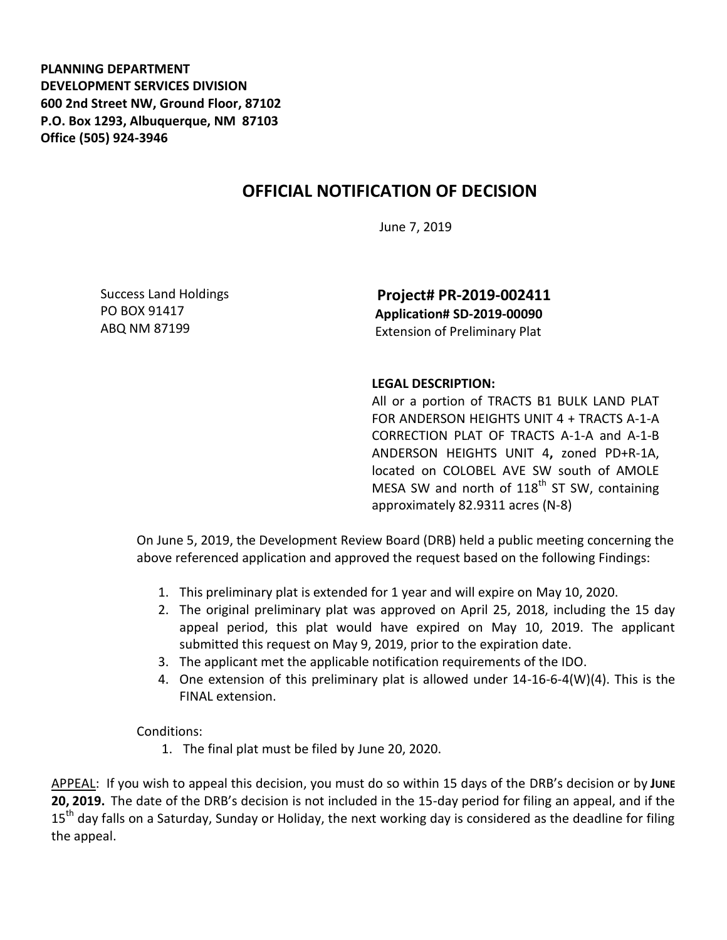**PLANNING DEPARTMENT DEVELOPMENT SERVICES DIVISION 600 2nd Street NW, Ground Floor, 87102 P.O. Box 1293, Albuquerque, NM 87103 Office (505) 924-3946** 

## **OFFICIAL NOTIFICATION OF DECISION**

June 7, 2019

Success Land Holdings PO BOX 91417 ABQ NM 87199

**Project# PR-2019-002411 Application# SD-2019-00090** Extension of Preliminary Plat

## **LEGAL DESCRIPTION:**

All or a portion of TRACTS B1 BULK LAND PLAT FOR ANDERSON HEIGHTS UNIT 4 + TRACTS A-1-A CORRECTION PLAT OF TRACTS A-1-A and A-1-B ANDERSON HEIGHTS UNIT 4**,** zoned PD+R-1A, located on COLOBEL AVE SW south of AMOLE MESA SW and north of  $118<sup>th</sup>$  ST SW, containing approximately 82.9311 acres (N-8)

On June 5, 2019, the Development Review Board (DRB) held a public meeting concerning the above referenced application and approved the request based on the following Findings:

- 1. This preliminary plat is extended for 1 year and will expire on May 10, 2020.
- 2. The original preliminary plat was approved on April 25, 2018, including the 15 day appeal period, this plat would have expired on May 10, 2019. The applicant submitted this request on May 9, 2019, prior to the expiration date.
- 3. The applicant met the applicable notification requirements of the IDO.
- 4. One extension of this preliminary plat is allowed under 14-16-6-4(W)(4). This is the FINAL extension.

Conditions:

1. The final plat must be filed by June 20, 2020.

APPEAL: If you wish to appeal this decision, you must do so within 15 days of the DRB's decision or by **JUNE 20, 2019.** The date of the DRB's decision is not included in the 15-day period for filing an appeal, and if the 15<sup>th</sup> day falls on a Saturday, Sunday or Holiday, the next working day is considered as the deadline for filing the appeal.